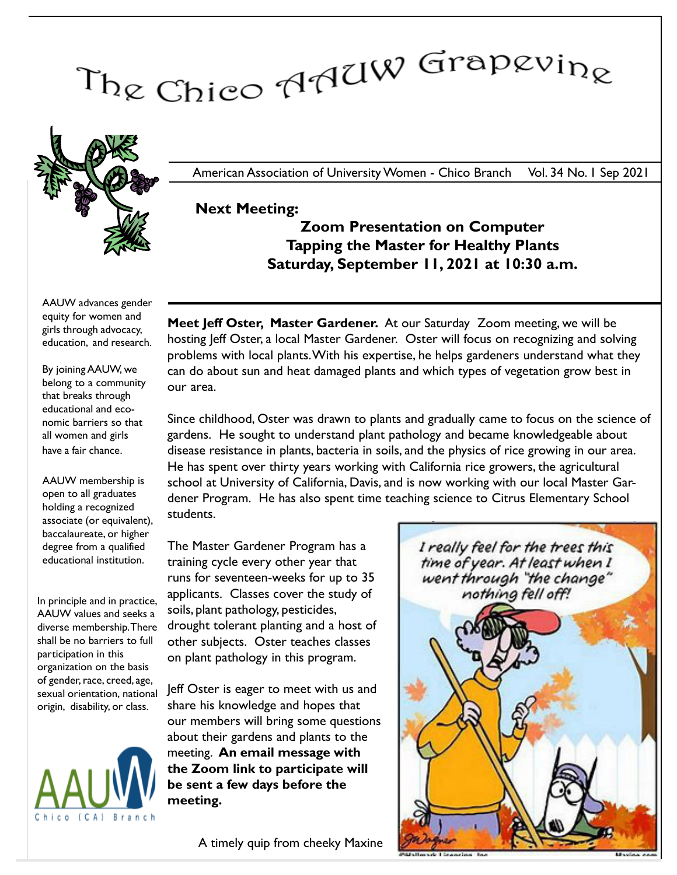# The Chico AAUW Grapevine



American Association of University Women - Chico Branch Vol. 34 No. 1 Sep 2021

#### Next Meeting:

Zoom Presentation on Computer Tapping the Master for Healthy Plants Saturday, September 11, 2021 at 10:30 a.m.

AAUW advances gender equity for women and girls through advocacy, education, and research.

By joining AAUW, we belong to a community that breaks through educational and economic barriers so that all women and girls have a fair chance.

AAUW membership is open to all graduates holding a recognized associate (or equivalent), baccalaureate, or higher degree from a qualified educational institution.

In principle and in practice, AAUW values and seeks a shall be no barriers to full participation in this organization on the basis of gender, race, creed, age, sexual orientation, national origin, disability, or class.



Meet Jeff Oster, Master Gardener. At our Saturday Zoom meeting, we will be hosting Jeff Oster, a local Master Gardener. Oster will focus on recognizing and solving problems with local plants.With his expertise, he helps gardeners understand what they can do about sun and heat damaged plants and which types of vegetation grow best in our area.

Since childhood, Oster was drawn to plants and gradually came to focus on the science of gardens. He sought to understand plant pathology and became knowledgeable about disease resistance in plants, bacteria in soils, and the physics of rice growing in our area. He has spent over thirty years working with California rice growers, the agricultural school at University of California, Davis, and is now working with our local Master Gardener Program. He has also spent time teaching science to Citrus Elementary School students.

diverse membership. There drought tolerant planting and a host of The Master Gardener Program has a training cycle every other year that runs for seventeen-weeks for up to 35 applicants. Classes cover the study of soils, plant pathology, pesticides, other subjects. Oster teaches classes on plant pathology in this program.

> Jeff Oster is eager to meet with us and share his knowledge and hopes that our members will bring some questions about their gardens and plants to the meeting. An email message with the Zoom link to participate will be sent a few days before the meeting.



A timely quip from cheeky Maxine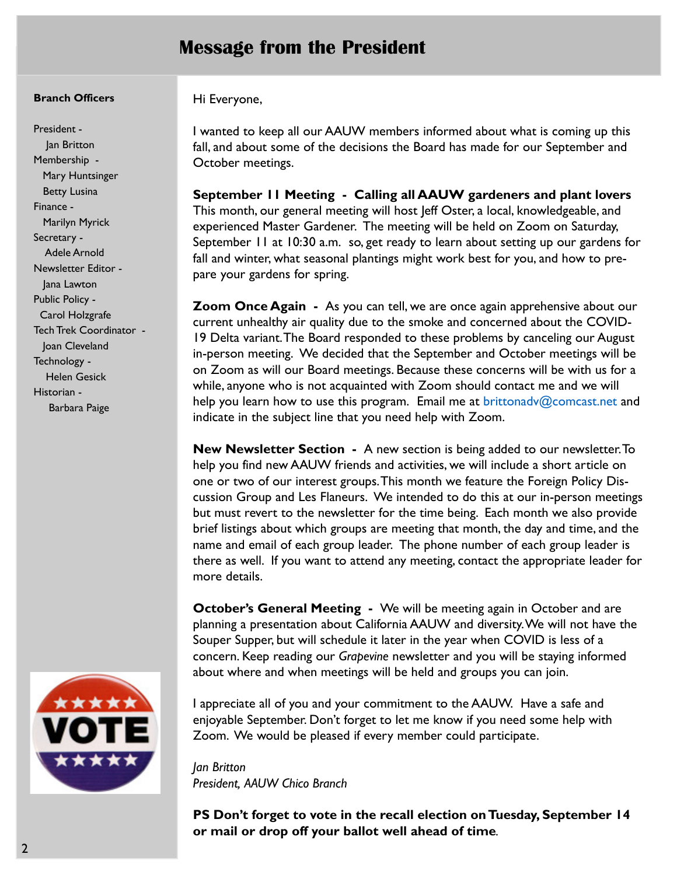# Message from the President

#### Branch Officers

President - Jan Britton Membership - Mary Huntsinger Betty Lusina Finance - Marilyn Myrick Secretary - Adele Arnold Newsletter Editor - Jana Lawton Public Policy - Carol Holzgrafe Tech Trek Coordinator - Joan Cleveland Technology -

Helen Gesick

Barbara Paige

Historian -



Hi Everyone,

I wanted to keep all our AAUW members informed about what is coming up this fall, and about some of the decisions the Board has made for our September and October meetings.

September 11 Meeting - Calling all AAUW gardeners and plant lovers This month, our general meeting will host Jeff Oster, a local, knowledgeable, and experienced Master Gardener. The meeting will be held on Zoom on Saturday, September 11 at 10:30 a.m. so, get ready to learn about setting up our gardens for fall and winter, what seasonal plantings might work best for you, and how to prepare your gardens for spring.

**Zoom Once Again** - As you can tell, we are once again apprehensive about our current unhealthy air quality due to the smoke and concerned about the COVID-19 Delta variant.The Board responded to these problems by canceling our August in-person meeting. We decided that the September and October meetings will be on Zoom as will our Board meetings. Because these concerns will be with us for a while, anyone who is not acquainted with Zoom should contact me and we will help you learn how to use this program. Email me at brittonady@comcast.net and indicate in the subject line that you need help with Zoom.

New Newsletter Section - A new section is being added to our newsletter. To help you find new AAUW friends and activities, we will include a short article on one or two of our interest groups.This month we feature the Foreign Policy Discussion Group and Les Flaneurs. We intended to do this at our in-person meetings but must revert to the newsletter for the time being. Each month we also provide brief listings about which groups are meeting that month, the day and time, and the name and email of each group leader. The phone number of each group leader is there as well. If you want to attend any meeting, contact the appropriate leader for more details.

**October's General Meeting -** We will be meeting again in October and are planning a presentation about California AAUW and diversity. We will not have the Souper Supper, but will schedule it later in the year when COVID is less of a concern. Keep reading our Grapevine newsletter and you will be staying informed about where and when meetings will be held and groups you can join.

I appreciate all of you and your commitment to the AAUW. Have a safe and enjoyable September. Don't forget to let me know if you need some help with Zoom. We would be pleased if every member could participate.

Jan Britton President, AAUW Chico Branch

PS Don't forget to vote in the recall election on Tuesday, September 14 or mail or drop off your ballot well ahead of time.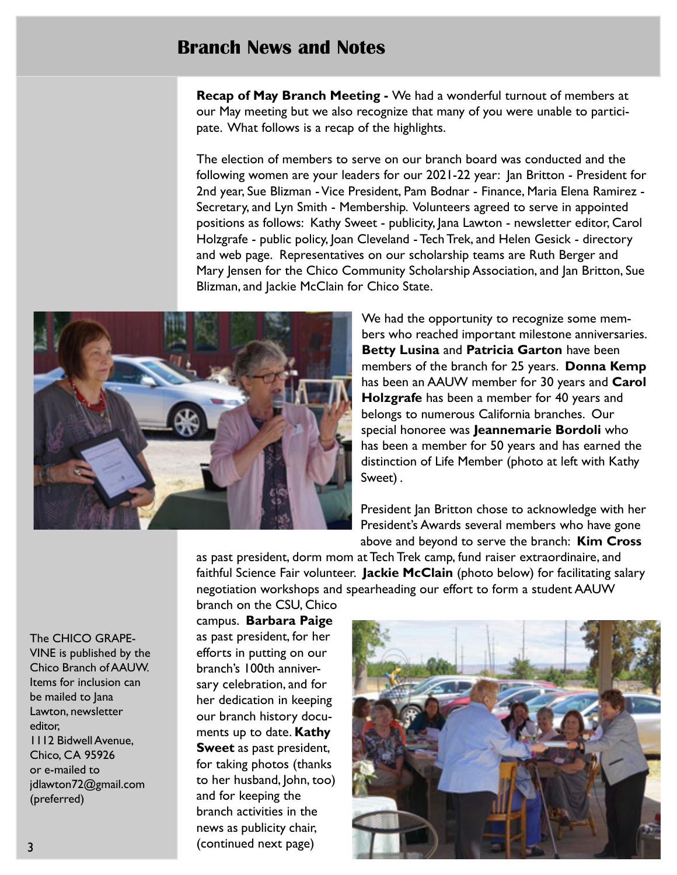# Branch News and Notes

Recap of May Branch Meeting - We had a wonderful turnout of members at our May meeting but we also recognize that many of you were unable to participate. What follows is a recap of the highlights.

The election of members to serve on our branch board was conducted and the following women are your leaders for our 2021-22 year: Jan Britton - President for 2nd year, Sue Blizman - Vice President, Pam Bodnar - Finance, Maria Elena Ramirez - Secretary, and Lyn Smith - Membership. Volunteers agreed to serve in appointed positions as follows: Kathy Sweet - publicity, Jana Lawton - newsletter editor, Carol Holzgrafe - public policy, Joan Cleveland - Tech Trek, and Helen Gesick - directory and web page. Representatives on our scholarship teams are Ruth Berger and Mary Jensen for the Chico Community Scholarship Association, and Jan Britton, Sue Blizman, and Jackie McClain for Chico State.



We had the opportunity to recognize some members who reached important milestone anniversaries. Betty Lusina and Patricia Garton have been members of the branch for 25 years. **Donna Kemp** has been an AAUW member for 30 years and Carol Holzgrafe has been a member for 40 years and belongs to numerous California branches. Our special honoree was Jeannemarie Bordoli who has been a member for 50 years and has earned the distinction of Life Member (photo at left with Kathy Sweet) .

President Jan Britton chose to acknowledge with her President's Awards several members who have gone above and beyond to serve the branch: Kim Cross

as past president, dorm mom at Tech Trek camp, fund raiser extraordinaire, and faithful Science Fair volunteer. Jackie McClain (photo below) for facilitating salary negotiation workshops and spearheading our effort to form a student AAUW

branch on the CSU, Chico campus. Barbara Paige as past president, for her efforts in putting on our branch's 100th anniversary celebration, and for her dedication in keeping our branch history documents up to date. Kathy Sweet as past president, for taking photos (thanks to her husband, John, too) and for keeping the branch activities in the news as publicity chair, (continued next page)



VINE is published by the Chico Branch of AAUW. Items for inclusion can be mailed to Jana

The CHICO GRAPE-

Lawton, newsletter editor, 1112 Bidwell Avenue, Chico, CA 95926 or e-mailed to jdlawton72@gmail.com (preferred)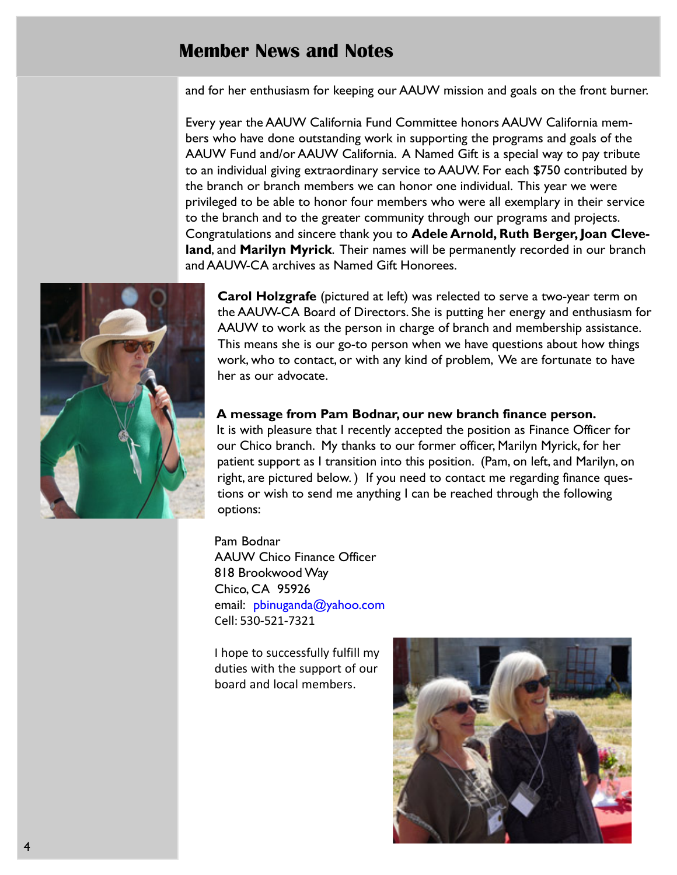# Member News and Notes

and for her enthusiasm for keeping our AAUW mission and goals on the front burner.

Every year the AAUW California Fund Committee honors AAUW California members who have done outstanding work in supporting the programs and goals of the AAUW Fund and/or AAUW California. A Named Gift is a special way to pay tribute to an individual giving extraordinary service to AAUW. For each \$750 contributed by the branch or branch members we can honor one individual. This year we were privileged to be able to honor four members who were all exemplary in their service to the branch and to the greater community through our programs and projects. Congratulations and sincere thank you to Adele Arnold, Ruth Berger, Joan Cleveland, and Marilyn Myrick. Their names will be permanently recorded in our branch and AAUW-CA archives as Named Gift Honorees.



**Carol Holzgrafe** (pictured at left) was relected to serve a two-year term on the AAUW-CA Board of Directors. She is putting her energy and enthusiasm for AAUW to work as the person in charge of branch and membership assistance. This means she is our go-to person when we have questions about how things work, who to contact, or with any kind of problem, We are fortunate to have her as our advocate.

#### A message from Pam Bodnar, our new branch finance person.

It is with pleasure that I recently accepted the position as Finance Officer for our Chico branch. My thanks to our former officer, Marilyn Myrick, for her patient support as I transition into this position. (Pam, on left, and Marilyn, on right, are pictured below. ) If you need to contact me regarding finance questions or wish to send me anything I can be reached through the following options:

Pam Bodnar AAUW Chico Finance Officer 818 Brookwood Way Chico, CA 95926 email: pbinuganda@yahoo.com Cell: 530-521-7321

I hope to successfully fulfill my duties with the support of our board and local members.

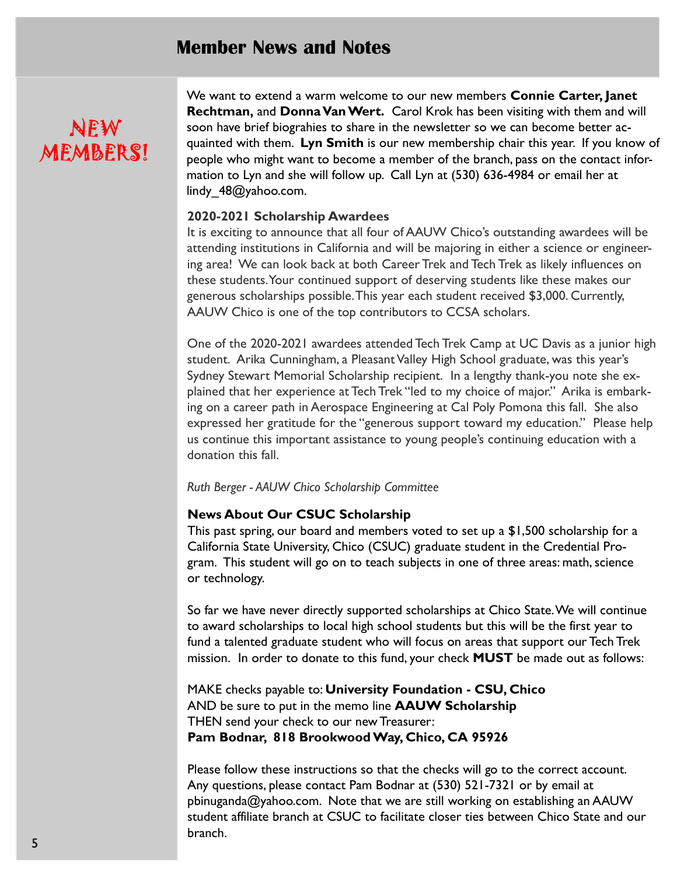### Member News and Notes

# NEW MEMBERS!

We want to extend a warm welcome to our new members **Connie Carter, Janet** Rechtman, and Donna Van Wert. Carol Krok has been visiting with them and will soon have brief biograhies to share in the newsletter so we can become better acquainted with them. Lyn Smith is our new membership chair this year. If you know of people who might want to become a member of the branch, pass on the contact information to Lyn and she will follow up. Call Lyn at (530) 636-4984 or email her at lindy 48@yahoo.com.

#### 2020-2021 Scholarship Awardees

It is exciting to announce that all four of AAUW Chico's outstanding awardees will be attending institutions in California and will be majoring in either a science or engineering area! We can look back at both Career Trek and Tech Trek as likely influences on these students. Your continued support of deserving students like these makes our generous scholarships possible. This year each student received \$3,000. Currently, AAUW Chico is one of the top contributors to CCSA scholars.

One of the 2020-2021 awardees attended Tech Trek Camp at UC Davis as a junior high student. Arika Cunningham, a Pleasant Valley High School graduate, was this year's Sydney Stewart Memorial Scholarship recipient. In a lengthy thank-you note she explained that her experience at Tech Trek "led to my choice of major." Arika is embarking on a career path in Aerospace Engineering at Cal Poly Pomona this fall. She also expressed her gratitude for the "generous support toward my education." Please help us continue this important assistance to young people's continuing education with a donation this fall.

#### Ruth Berger - AAUW Chico Scholarship Committee

#### News About Our CSUC Scholarship

This past spring, our board and members voted to set up a \$1,500 scholarship for a California State University, Chico (CSUC) graduate student in the Credential Program. This student will go on to teach subjects in one of three areas: math, science or technology.

So far we have never directly supported scholarships at Chico State. We will continue to award scholarships to local high school students but this will be the first year to fund a talented graduate student who will focus on areas that support our Tech Trek mission. In order to donate to this fund, your check MUST be made out as follows:

MAKE checks payable to: University Foundation - CSU, Chico AND be sure to put in the memo line **AAUW Scholarship** THEN send your check to our new Treasurer: Pam Bodnar, 818 Brookwood Way, Chico, CA 95926

Please follow these instructions so that the checks will go to the correct account. Any questions, please contact Pam Bodnar at (530) 521-7321 or by email at pbinuganda@yahoo.com. Note that we are still working on establishing an AAUW student affiliate branch at CSUC to facilitate closer ties between Chico State and our branch.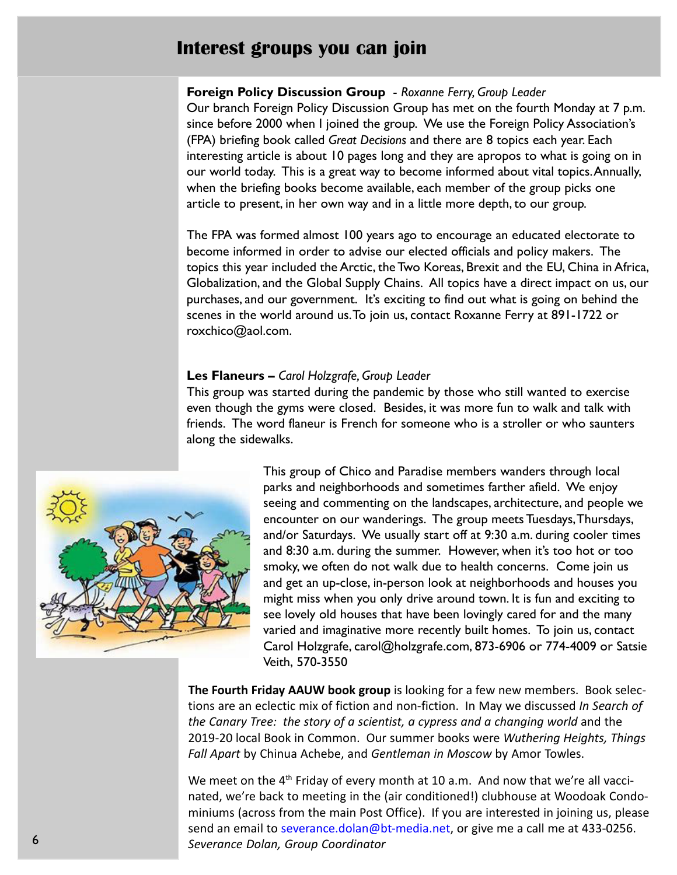# Interest groups you can join

#### Foreign Policy Discussion Group - Roxanne Ferry, Group Leader

Our branch Foreign Policy Discussion Group has met on the fourth Monday at 7 p.m. since before 2000 when I joined the group. We use the Foreign Policy Association's (FPA) briefing book called Great Decisions and there are 8 topics each year. Each interesting article is about 10 pages long and they are apropos to what is going on in our world today. This is a great way to become informed about vital topics.Annually, when the briefing books become available, each member of the group picks one article to present, in her own way and in a little more depth, to our group.

The FPA was formed almost 100 years ago to encourage an educated electorate to become informed in order to advise our elected officials and policy makers. The topics this year included the Arctic, the Two Koreas, Brexit and the EU, China in Africa, Globalization, and the Global Supply Chains. All topics have a direct impact on us, our purchases, and our government. It's exciting to find out what is going on behind the scenes in the world around us. To join us, contact Roxanne Ferry at 891-1722 or roxchico@aol.com.

#### Les Flaneurs - Carol Holzgrafe, Group Leader

This group was started during the pandemic by those who still wanted to exercise even though the gyms were closed. Besides, it was more fun to walk and talk with friends. The word flaneur is French for someone who is a stroller or who saunters along the sidewalks.



This group of Chico and Paradise members wanders through local parks and neighborhoods and sometimes farther afield. We enjoy seeing and commenting on the landscapes, architecture, and people we encounter on our wanderings. The group meets Tuesdays, Thursdays, and/or Saturdays. We usually start off at 9:30 a.m. during cooler times and 8:30 a.m. during the summer. However, when it's too hot or too smoky, we often do not walk due to health concerns. Come join us and get an up-close, in-person look at neighborhoods and houses you might miss when you only drive around town. It is fun and exciting to see lovely old houses that have been lovingly cared for and the many varied and imaginative more recently built homes. To join us, contact Carol Holzgrafe, carol@holzgrafe.com, 873-6906 or 774-4009 or Satsie Veith, 570-3550

The Fourth Friday AAUW book group is looking for a few new members. Book selections are an eclectic mix of fiction and non-fiction. In May we discussed In Search of the Canary Tree: the story of a scientist, a cypress and a changing world and the 2019-20 local Book in Common. Our summer books were Wuthering Heights, Things Fall Apart by Chinua Achebe, and Gentleman in Moscow by Amor Towles.

We meet on the 4<sup>th</sup> Friday of every month at 10 a.m. And now that we're all vaccinated, we're back to meeting in the (air conditioned!) clubhouse at Woodoak Condominiums (across from the main Post Office). If you are interested in joining us, please send an email to severance.dolan@bt-media.net, or give me a call me at 433-0256. Severance Dolan, Group Coordinator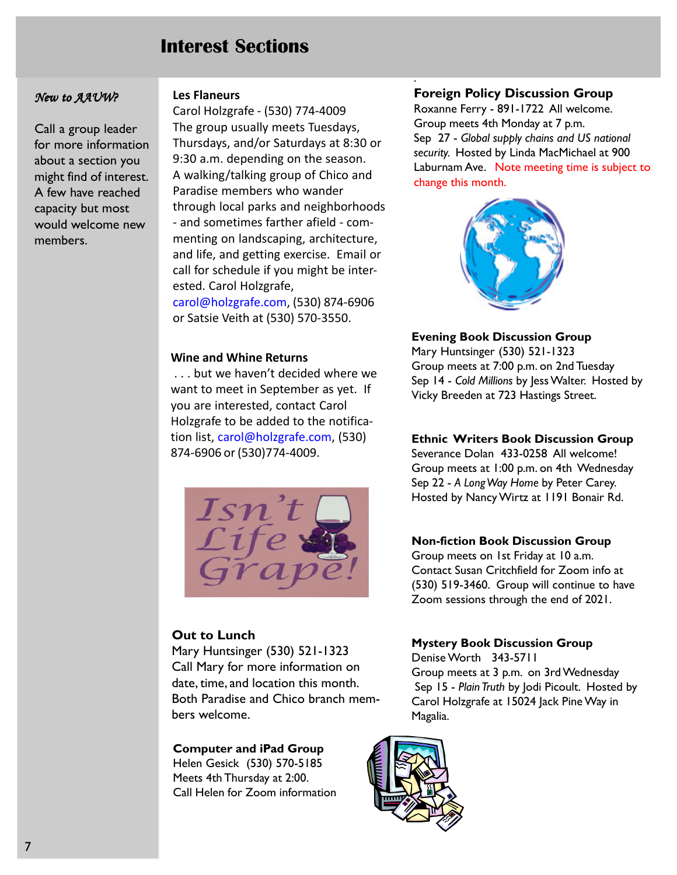# Interest Sections

#### New to AAUW?

Call a group leader for more information about a section you might find of interest. A few have reached capacity but most would welcome new members.

#### Les Flaneurs

Carol Holzgrafe - (530) 774-4009 The group usually meets Tuesdays, Thursdays, and/or Saturdays at 8:30 or 9:30 a.m. depending on the season. A walking/talking group of Chico and Paradise members who wander through local parks and neighborhoods - and sometimes farther afield - commenting on landscaping, architecture, and life, and getting exercise. Email or call for schedule if you might be interested. Carol Holzgrafe, carol@holzgrafe.com, (530) 874-6906 or Satsie Veith at (530) 570-3550.

#### Wine and Whine Returns

 . . . but we haven't decided where we want to meet in September as yet. If you are interested, contact Carol Holzgrafe to be added to the notification list, carol@holzgrafe.com, (530) 874-6906 or (530)774-4009.



#### Out to Lunch

Mary Huntsinger (530) 521-1323 Call Mary for more information on date, time, and location this month. Both Paradise and Chico branch members welcome.

#### Computer and iPad Group

Helen Gesick (530) 570-5185 Meets 4th Thursday at 2:00. Call Helen for Zoom information

#### Foreign Policy Discussion Group

.

Roxanne Ferry - 891-1722 All welcome. Group meets 4th Monday at 7 p.m. Sep 27 - Global supply chains and US national security. Hosted by Linda MacMichael at 900 Laburnam Ave. Note meeting time is subject to change this month.



#### Evening Book Discussion Group

Mary Huntsinger (530) 521-1323 Group meets at 7:00 p.m. on 2nd Tuesday Sep 14 - Cold Millions by Jess Walter. Hosted by Vicky Breeden at 723 Hastings Street.

#### Ethnic Writers Book Discussion Group

Severance Dolan 433-0258 All welcome! Group meets at 1:00 p.m. on 4th Wednesday Sep 22 - A Long Way Home by Peter Carey. Hosted by Nancy Wirtz at 1191 Bonair Rd.

#### Non-fiction Book Discussion Group

Group meets on 1st Friday at 10 a.m. Contact Susan Critchfield for Zoom info at (530) 519-3460. Group will continue to have Zoom sessions through the end of 2021.

#### Mystery Book Discussion Group

Denise Worth 343-5711 Group meets at 3 p.m. on 3rd Wednesday Sep 15 - Plain Truth by Jodi Picoult. Hosted by Carol Holzgrafe at 15024 Jack Pine Way in Magalia.